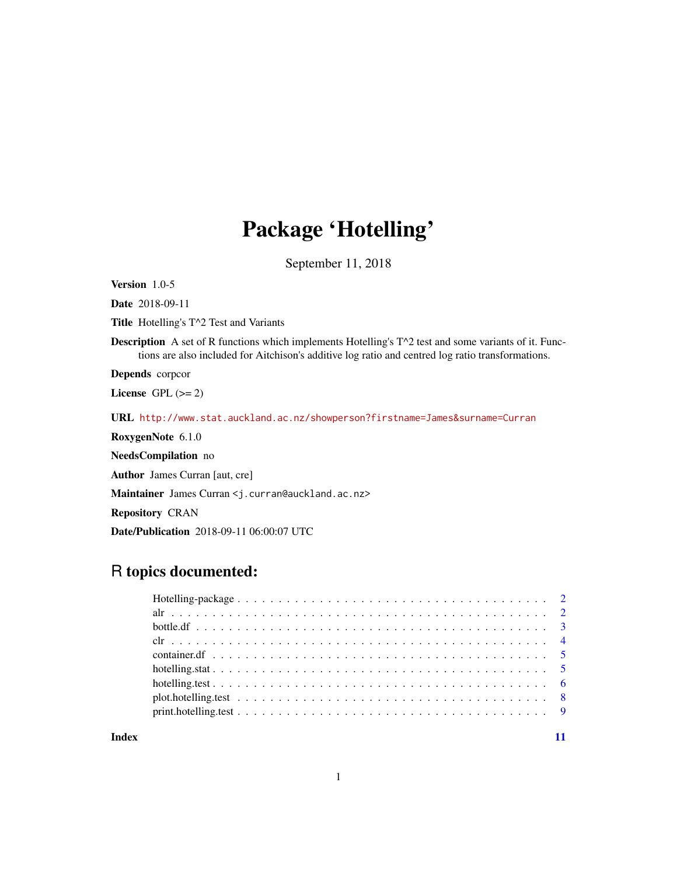# Package 'Hotelling'

September 11, 2018

Version 1.0-5

Date 2018-09-11

Title Hotelling's T^2 Test and Variants

**Description** A set of R functions which implements Hotelling's  $T^2$  test and some variants of it. Functions are also included for Aitchison's additive log ratio and centred log ratio transformations.

Depends corpcor

License GPL  $(>= 2)$ 

URL <http://www.stat.auckland.ac.nz/showperson?firstname=James&surname=Curran>

RoxygenNote 6.1.0

NeedsCompilation no

Author James Curran [aut, cre]

Maintainer James Curran <j.curran@auckland.ac.nz>

Repository CRAN

Date/Publication 2018-09-11 06:00:07 UTC

# R topics documented:

**Index** [11](#page-10-0)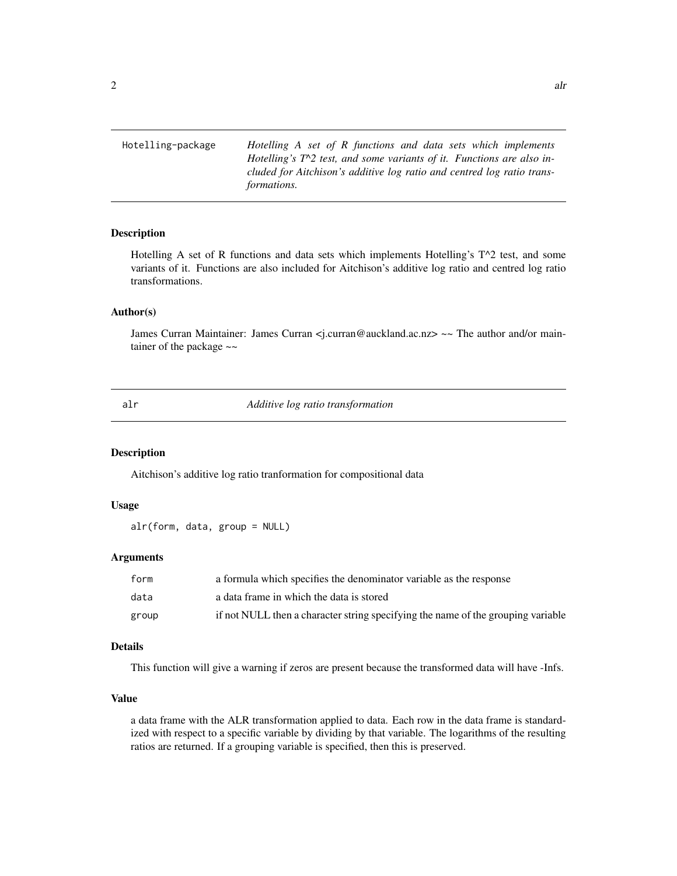Hotelling-package *Hotelling A set of R functions and data sets which implements Hotelling's T^2 test, and some variants of it. Functions are also included for Aitchison's additive log ratio and centred log ratio transformations.*

#### Description

Hotelling A set of R functions and data sets which implements Hotelling's T^2 test, and some variants of it. Functions are also included for Aitchison's additive log ratio and centred log ratio transformations.

#### Author(s)

James Curran Maintainer: James Curran <j.curran@auckland.ac.nz> ~~ The author and/or maintainer of the package  $\sim$ 

alr *Additive log ratio transformation*

#### Description

Aitchison's additive log ratio tranformation for compositional data

#### Usage

```
alr(form, data, group = NULL)
```
#### Arguments

| form  | a formula which specifies the denominator variable as the response               |
|-------|----------------------------------------------------------------------------------|
| data  | a data frame in which the data is stored                                         |
| group | if not NULL then a character string specifying the name of the grouping variable |

#### Details

This function will give a warning if zeros are present because the transformed data will have -Infs.

#### Value

a data frame with the ALR transformation applied to data. Each row in the data frame is standardized with respect to a specific variable by dividing by that variable. The logarithms of the resulting ratios are returned. If a grouping variable is specified, then this is preserved.

<span id="page-1-0"></span>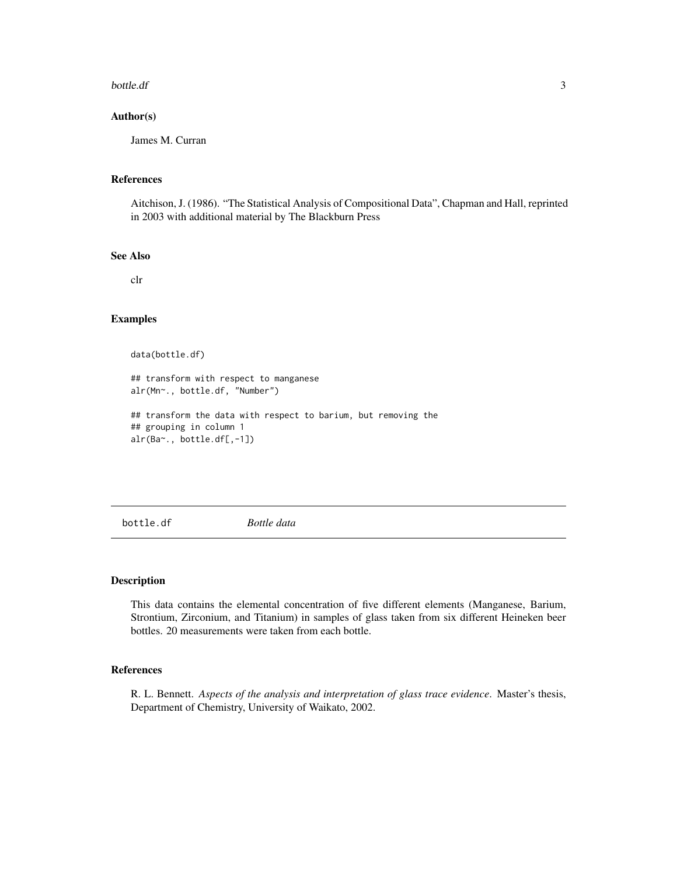#### <span id="page-2-0"></span>bottle.df 3

#### Author(s)

James M. Curran

#### References

Aitchison, J. (1986). "The Statistical Analysis of Compositional Data", Chapman and Hall, reprinted in 2003 with additional material by The Blackburn Press

#### See Also

clr

#### Examples

data(bottle.df)

## transform with respect to manganese alr(Mn~., bottle.df, "Number")

## transform the data with respect to barium, but removing the ## grouping in column 1 alr(Ba~., bottle.df[,-1])

bottle.df *Bottle data*

#### Description

This data contains the elemental concentration of five different elements (Manganese, Barium, Strontium, Zirconium, and Titanium) in samples of glass taken from six different Heineken beer bottles. 20 measurements were taken from each bottle.

#### References

R. L. Bennett. *Aspects of the analysis and interpretation of glass trace evidence*. Master's thesis, Department of Chemistry, University of Waikato, 2002.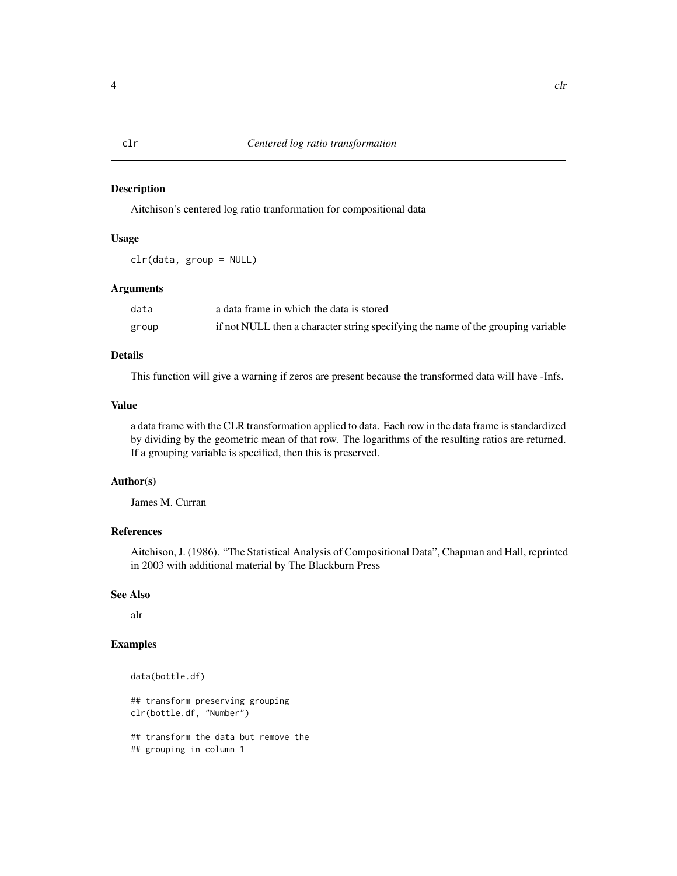#### <span id="page-3-0"></span>Description

Aitchison's centered log ratio tranformation for compositional data

#### Usage

clr(data, group = NULL)

#### Arguments

| data  | a data frame in which the data is stored                                         |
|-------|----------------------------------------------------------------------------------|
| group | if not NULL then a character string specifying the name of the grouping variable |

#### Details

This function will give a warning if zeros are present because the transformed data will have -Infs.

#### Value

a data frame with the CLR transformation applied to data. Each row in the data frame is standardized by dividing by the geometric mean of that row. The logarithms of the resulting ratios are returned. If a grouping variable is specified, then this is preserved.

#### Author(s)

James M. Curran

Aitchison, J. (1986). "The Statistical Analysis of Compositional Data", Chapman and Hall, reprinted

#### See Also

alr

#### Examples

```
data(bottle.df)
## transform preserving grouping
clr(bottle.df, "Number")
## transform the data but remove the
```
## grouping in column 1

## References

in 2003 with additional material by The Blackburn Press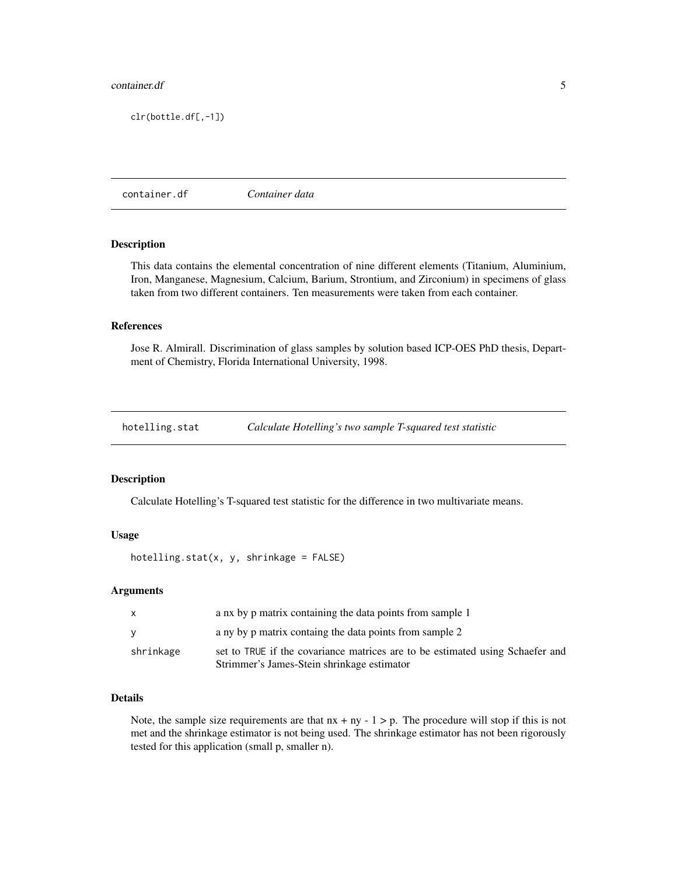#### <span id="page-4-0"></span>container.df 5

clr(bottle.df[,-1])

container.df *Container data*

#### Description

This data contains the elemental concentration of nine different elements (Titanium, Aluminium, Iron, Manganese, Magnesium, Calcium, Barium, Strontium, and Zirconium) in specimens of glass taken from two different containers. Ten measurements were taken from each container.

#### References

Jose R. Almirall. Discrimination of glass samples by solution based ICP-OES PhD thesis, Department of Chemistry, Florida International University, 1998.

hotelling.stat *Calculate Hotelling's two sample T-squared test statistic*

#### Description

Calculate Hotelling's T-squared test statistic for the difference in two multivariate means.

#### Usage

```
hotelling.stat(x, y, shrinkage = FALSE)
```
#### Arguments

| $\mathsf{x}$ | a nx by p matrix containing the data points from sample 1                                                                   |
|--------------|-----------------------------------------------------------------------------------------------------------------------------|
| <b>V</b>     | a ny by p matrix containg the data points from sample 2                                                                     |
| shrinkage    | set to TRUE if the covariance matrices are to be estimated using Schaefer and<br>Strimmer's James-Stein shrinkage estimator |

#### Details

Note, the sample size requirements are that  $nx + ny - 1 > p$ . The procedure will stop if this is not met and the shrinkage estimator is not being used. The shrinkage estimator has not been rigorously tested for this application (small p, smaller n).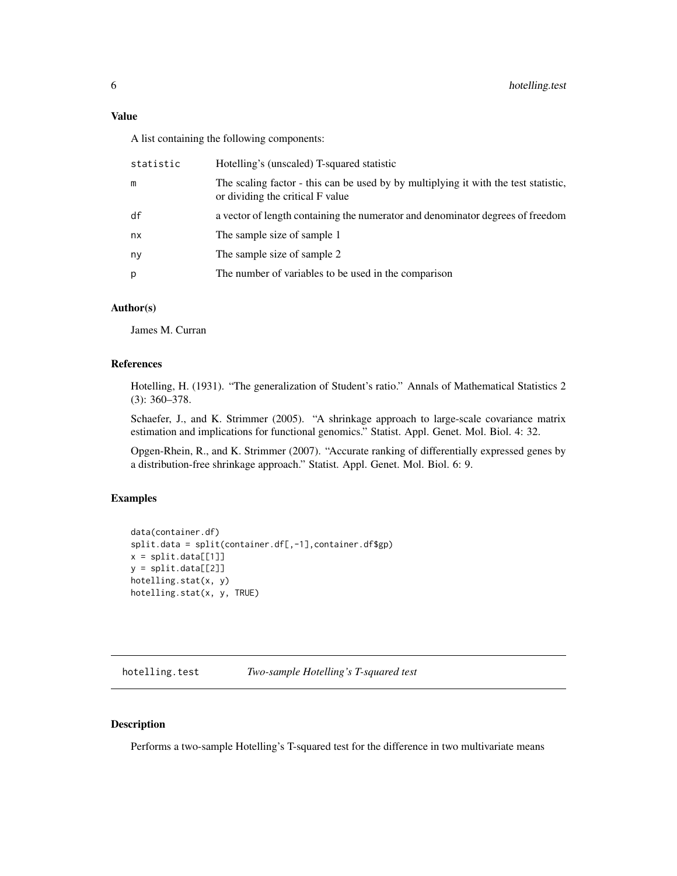<span id="page-5-0"></span>Value

A list containing the following components:

| statistic | Hotelling's (unscaled) T-squared statistic                                                                              |
|-----------|-------------------------------------------------------------------------------------------------------------------------|
| m         | The scaling factor - this can be used by by multiplying it with the test statistic,<br>or dividing the critical F value |
| df        | a vector of length containing the numerator and denominator degrees of freedom                                          |
| nx        | The sample size of sample 1                                                                                             |
| ny        | The sample size of sample 2                                                                                             |
| p         | The number of variables to be used in the comparison                                                                    |
|           |                                                                                                                         |

#### Author(s)

James M. Curran

#### References

Hotelling, H. (1931). "The generalization of Student's ratio." Annals of Mathematical Statistics 2 (3): 360–378.

Schaefer, J., and K. Strimmer (2005). "A shrinkage approach to large-scale covariance matrix estimation and implications for functional genomics." Statist. Appl. Genet. Mol. Biol. 4: 32.

Opgen-Rhein, R., and K. Strimmer (2007). "Accurate ranking of differentially expressed genes by a distribution-free shrinkage approach." Statist. Appl. Genet. Mol. Biol. 6: 9.

#### Examples

```
data(container.df)
split.data = split(container.df[,-1],container.df$gp)
x = split.data[1]]y = split.data[[2]]hotelling.stat(x, y)
hotelling.stat(x, y, TRUE)
```
hotelling.test *Two-sample Hotelling's T-squared test*

#### Description

Performs a two-sample Hotelling's T-squared test for the difference in two multivariate means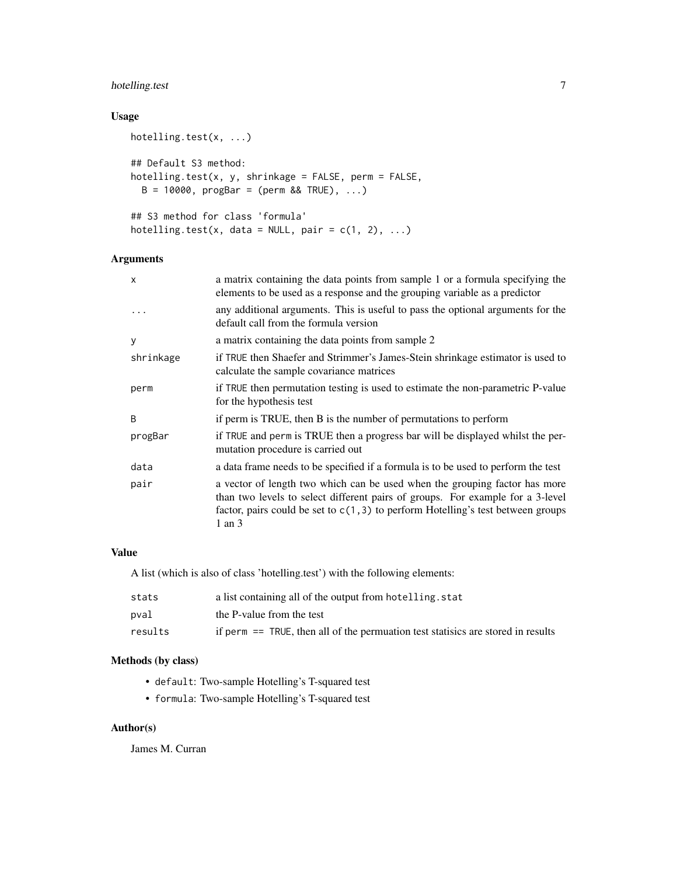## hotelling.test 7

#### Usage

```
hotelling.test(x, ...)
## Default S3 method:
hotelling.test(x, y, shrinkage = FALSE, perm = FALSE,
 B = 10000, progBar = (perm 8& TRUE), ...## S3 method for class 'formula'
hotelling.test(x, data = NULL, pair = c(1, 2), ...)
```
#### Arguments

| $\boldsymbol{\mathsf{x}}$ | a matrix containing the data points from sample 1 or a formula specifying the<br>elements to be used as a response and the grouping variable as a predictor                                                                                                     |
|---------------------------|-----------------------------------------------------------------------------------------------------------------------------------------------------------------------------------------------------------------------------------------------------------------|
| $\cdots$                  | any additional arguments. This is useful to pass the optional arguments for the<br>default call from the formula version                                                                                                                                        |
| У                         | a matrix containing the data points from sample 2                                                                                                                                                                                                               |
| shrinkage                 | if TRUE then Shaefer and Strimmer's James-Stein shrinkage estimator is used to<br>calculate the sample covariance matrices                                                                                                                                      |
| perm                      | if TRUE then permutation testing is used to estimate the non-parametric P-value<br>for the hypothesis test                                                                                                                                                      |
| B                         | if perm is TRUE, then B is the number of permutations to perform                                                                                                                                                                                                |
| progBar                   | if TRUE and perm is TRUE then a progress bar will be displayed whilst the per-<br>mutation procedure is carried out                                                                                                                                             |
| data                      | a data frame needs to be specified if a formula is to be used to perform the test                                                                                                                                                                               |
| pair                      | a vector of length two which can be used when the grouping factor has more<br>than two levels to select different pairs of groups. For example for a 3-level<br>factor, pairs could be set to $c(1,3)$ to perform Hotelling's test between groups<br>$1$ an $3$ |

#### Value

A list (which is also of class 'hotelling.test') with the following elements:

| stats   | a list containing all of the output from hotelling, stat                            |
|---------|-------------------------------------------------------------------------------------|
| pval    | the P-value from the test                                                           |
| results | if perm $==$ TRUE, then all of the permuation test statistics are stored in results |

### Methods (by class)

- default: Two-sample Hotelling's T-squared test
- formula: Two-sample Hotelling's T-squared test

### Author(s)

James M. Curran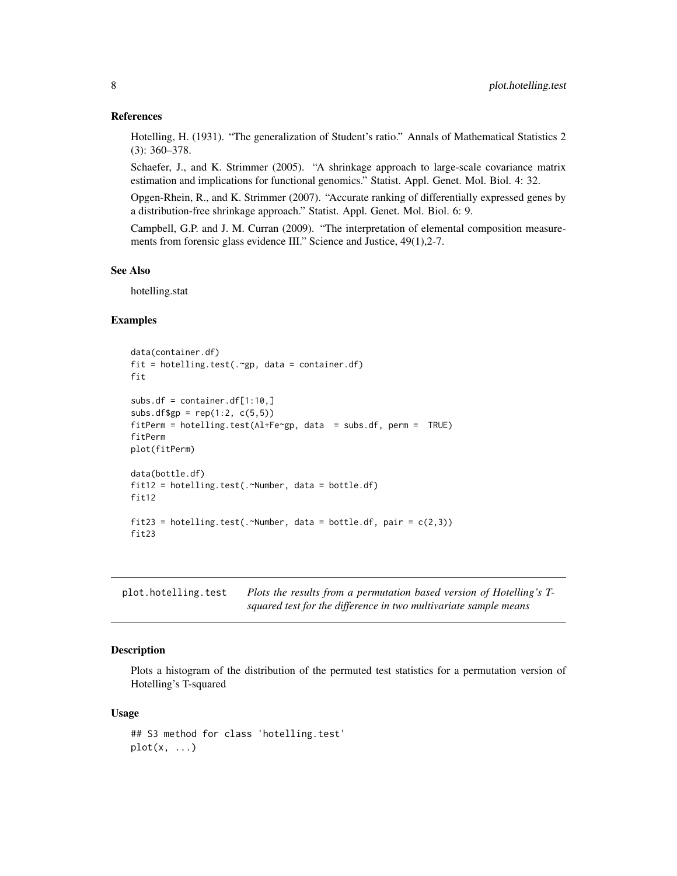#### <span id="page-7-0"></span>References

Hotelling, H. (1931). "The generalization of Student's ratio." Annals of Mathematical Statistics 2 (3): 360–378.

Schaefer, J., and K. Strimmer (2005). "A shrinkage approach to large-scale covariance matrix estimation and implications for functional genomics." Statist. Appl. Genet. Mol. Biol. 4: 32.

Opgen-Rhein, R., and K. Strimmer (2007). "Accurate ranking of differentially expressed genes by a distribution-free shrinkage approach." Statist. Appl. Genet. Mol. Biol. 6: 9.

Campbell, G.P. and J. M. Curran (2009). "The interpretation of elemental composition measurements from forensic glass evidence III." Science and Justice, 49(1), 2-7.

#### See Also

hotelling.stat

#### Examples

```
data(container.df)
fit = hotelling.test(.~gp, data = container.df)
fit
subs.df = container.df[1:10,]
subs.df$gp = rep(1:2, c(5,5))fitPerm = hotelling.test(Al+Fe~gp, data = subs.df, perm = TRUE)
fitPerm
plot(fitPerm)
data(bottle.df)
fit12 = hotelling.test(.~Number, data = bottle.df)
fit12
fit23 = hotelling.test(.~Number, data = bottle.df, pair = c(2,3))
fit23
```
plot.hotelling.test *Plots the results from a permutation based version of Hotelling's Tsquared test for the difference in two multivariate sample means*

#### **Description**

Plots a histogram of the distribution of the permuted test statistics for a permutation version of Hotelling's T-squared

#### Usage

```
## S3 method for class 'hotelling.test'
plot(x, \ldots)
```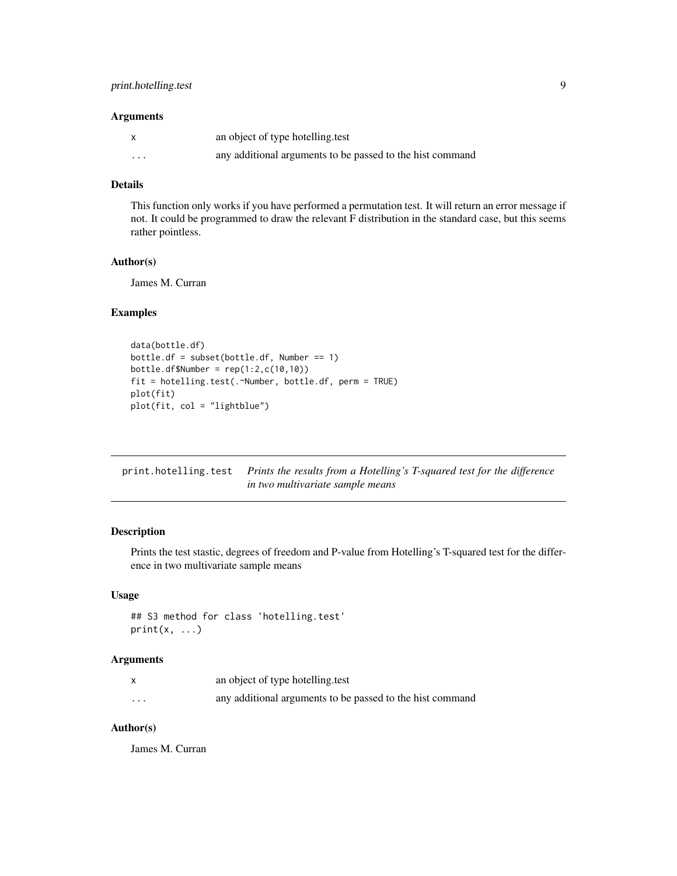#### <span id="page-8-0"></span>Arguments

|   | an object of type hotelling.test                          |
|---|-----------------------------------------------------------|
| . | any additional arguments to be passed to the hist command |

#### Details

This function only works if you have performed a permutation test. It will return an error message if not. It could be programmed to draw the relevant F distribution in the standard case, but this seems rather pointless.

#### Author(s)

James M. Curran

#### Examples

```
data(bottle.df)
bottle.df = subset(bottle.df, Number == 1)
bottle.df$Number = rep(1:2,c(10,10))
fit = hotelling.test(.~Number, bottle.df, perm = TRUE)
plot(fit)
plot(fit, col = "lightblue")
```

| print hotelling test Prints the results from a Hotelling's T-squared test for the difference |
|----------------------------------------------------------------------------------------------|
| in two multivariate sample means                                                             |

#### Description

Prints the test stastic, degrees of freedom and P-value from Hotelling's T-squared test for the difference in two multivariate sample means

#### Usage

```
## S3 method for class 'hotelling.test'
print(x, \ldots)
```
#### Arguments

|          | an object of type hotelling test                          |
|----------|-----------------------------------------------------------|
| $\cdots$ | any additional arguments to be passed to the hist command |

#### Author(s)

James M. Curran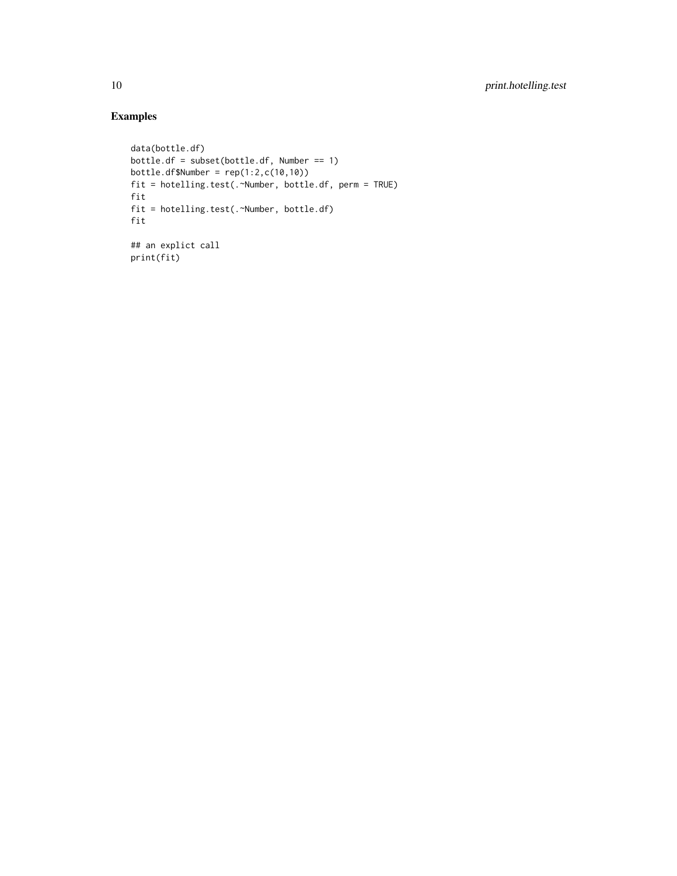# Examples

```
data(bottle.df)
bottle.df = subset(bottle.df, Number == 1)
bottle.df$Number = rep(1:2, c(10, 10))fit = hotelling.test(.~Number, bottle.df, perm = TRUE)
fit
fit = hotelling.test(.~Number, bottle.df)
fit
## an explict call
print(fit)
```